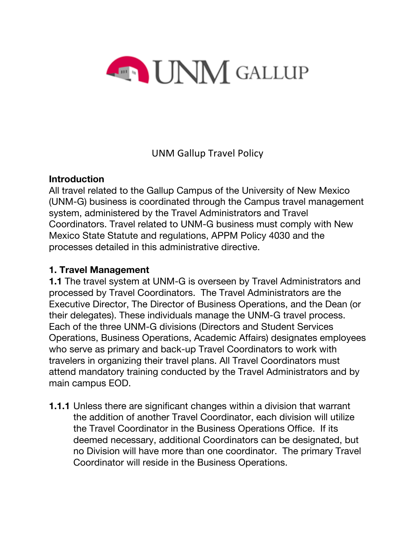

UNM Gallup Travel Policy

#### **Introduction**

All travel related to the Gallup Campus of the University of New Mexico (UNM-G) business is coordinated through the Campus travel management system, administered by the Travel Administrators and Travel Coordinators. Travel related to UNM-G business must comply with New Mexico State Statute and regulations, APPM Policy 4030 and the processes detailed in this administrative directive.

### **1. Travel Management**

**1.1** The travel system at UNM-G is overseen by Travel Administrators and processed by Travel Coordinators. The Travel Administrators are the Executive Director, The Director of Business Operations, and the Dean (or their delegates). These individuals manage the UNM-G travel process. Each of the three UNM-G divisions (Directors and Student Services Operations, Business Operations, Academic Affairs) designates employees who serve as primary and back-up Travel Coordinators to work with travelers in organizing their travel plans. All Travel Coordinators must attend mandatory training conducted by the Travel Administrators and by main campus EOD.

**1.1.1** Unless there are significant changes within a division that warrant the addition of another Travel Coordinator, each division will utilize the Travel Coordinator in the Business Operations Office. If its deemed necessary, additional Coordinators can be designated, but no Division will have more than one coordinator. The primary Travel Coordinator will reside in the Business Operations.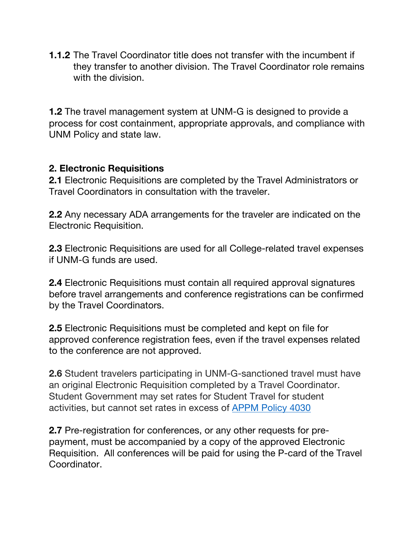**1.1.2** The Travel Coordinator title does not transfer with the incumbent if they transfer to another division. The Travel Coordinator role remains with the division.

**1.2** The travel management system at UNM-G is designed to provide a process for cost containment, appropriate approvals, and compliance with UNM Policy and state law.

#### **2. Electronic Requisitions**

**2.1** Electronic Requisitions are completed by the Travel Administrators or Travel Coordinators in consultation with the traveler.

**2.2** Any necessary ADA arrangements for the traveler are indicated on the Electronic Requisition.

**2.3** Electronic Requisitions are used for all College-related travel expenses if UNM-G funds are used.

**2.4** Electronic Requisitions must contain all required approval signatures before travel arrangements and conference registrations can be confirmed by the Travel Coordinators.

**2.5** Electronic Requisitions must be completed and kept on file for approved conference registration fees, even if the travel expenses related to the conference are not approved.

**2.6** Student travelers participating in UNM-G-sanctioned travel must have an original Electronic Requisition completed by a Travel Coordinator. Student Government may set rates for Student Travel for student activities, but cannot set rates in excess of APPM Policy 4030

**2.7** Pre-registration for conferences, or any other requests for prepayment, must be accompanied by a copy of the approved Electronic Requisition. All conferences will be paid for using the P-card of the Travel Coordinator.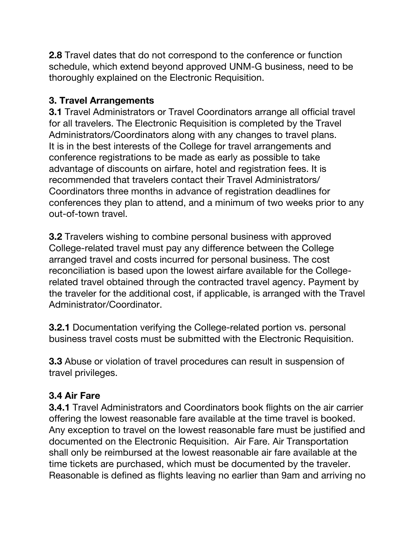**2.8** Travel dates that do not correspond to the conference or function schedule, which extend beyond approved UNM-G business, need to be thoroughly explained on the Electronic Requisition.

### **3. Travel Arrangements**

**3.1** Travel Administrators or Travel Coordinators arrange all official travel for all travelers. The Electronic Requisition is completed by the Travel Administrators/Coordinators along with any changes to travel plans. It is in the best interests of the College for travel arrangements and conference registrations to be made as early as possible to take advantage of discounts on airfare, hotel and registration fees. It is recommended that travelers contact their Travel Administrators/ Coordinators three months in advance of registration deadlines for conferences they plan to attend, and a minimum of two weeks prior to any out-of-town travel.

**3.2** Travelers wishing to combine personal business with approved College-related travel must pay any difference between the College arranged travel and costs incurred for personal business. The cost reconciliation is based upon the lowest airfare available for the Collegerelated travel obtained through the contracted travel agency. Payment by the traveler for the additional cost, if applicable, is arranged with the Travel Administrator/Coordinator.

**3.2.1** Documentation verifying the College-related portion vs. personal business travel costs must be submitted with the Electronic Requisition.

**3.3** Abuse or violation of travel procedures can result in suspension of travel privileges.

# **3.4 Air Fare**

**3.4.1** Travel Administrators and Coordinators book flights on the air carrier offering the lowest reasonable fare available at the time travel is booked. Any exception to travel on the lowest reasonable fare must be justified and documented on the Electronic Requisition. Air Fare. Air Transportation shall only be reimbursed at the lowest reasonable air fare available at the time tickets are purchased, which must be documented by the traveler. Reasonable is defined as flights leaving no earlier than 9am and arriving no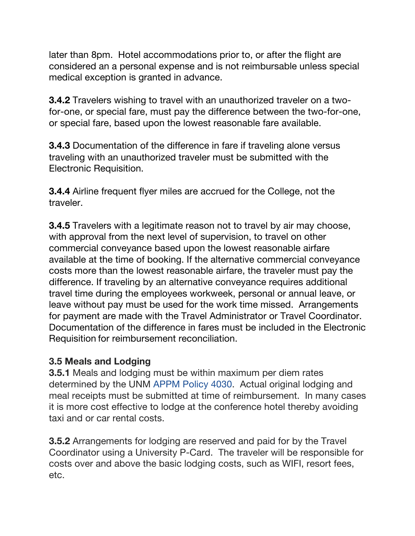later than 8pm. Hotel accommodations prior to, or after the flight are considered an a personal expense and is not reimbursable unless special medical exception is granted in advance.

**3.4.2** Travelers wishing to travel with an unauthorized traveler on a twofor-one, or special fare, must pay the difference between the two-for-one, or special fare, based upon the lowest reasonable fare available.

**3.4.3** Documentation of the difference in fare if traveling alone versus traveling with an unauthorized traveler must be submitted with the Electronic Requisition.

**3.4.4** Airline frequent flyer miles are accrued for the College, not the traveler.

**3.4.5** Travelers with a legitimate reason not to travel by air may choose, with approval from the next level of supervision, to travel on other commercial conveyance based upon the lowest reasonable airfare available at the time of booking. If the alternative commercial conveyance costs more than the lowest reasonable airfare, the traveler must pay the difference. If traveling by an alternative conveyance requires additional travel time during the employees workweek, personal or annual leave, or leave without pay must be used for the work time missed. Arrangements for payment are made with the Travel Administrator or Travel Coordinator. Documentation of the difference in fares must be included in the Electronic Requisition for reimbursement reconciliation.

# **3.5 Meals and Lodging**

**3.5.1** Meals and lodging must be within maximum per diem rates determined by the UNM APPM Policy 4030. Actual original lodging and meal receipts must be submitted at time of reimbursement. In many cases it is more cost effective to lodge at the conference hotel thereby avoiding taxi and or car rental costs.

**3.5.2** Arrangements for lodging are reserved and paid for by the Travel Coordinator using a University P-Card. The traveler will be responsible for costs over and above the basic lodging costs, such as WIFI, resort fees, etc.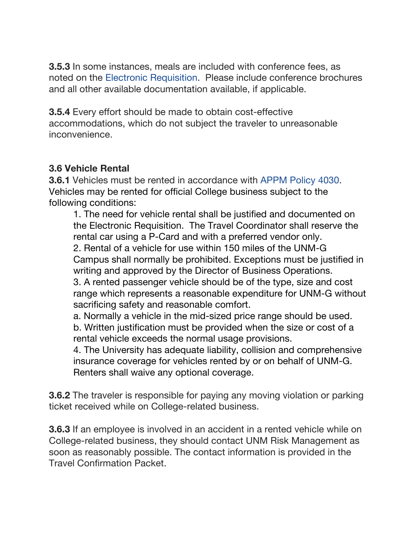**3.5.3** In some instances, meals are included with conference fees, as noted on the Electronic Requisition. Please include conference brochures and all other available documentation available, if applicable.

**3.5.4** Every effort should be made to obtain cost-effective accommodations, which do not subject the traveler to unreasonable inconvenience.

# **3.6 Vehicle Rental**

**3.6.1** Vehicles must be rented in accordance with APPM Policy 4030. Vehicles may be rented for official College business subject to the following conditions:

1. The need for vehicle rental shall be justified and documented on the Electronic Requisition. The Travel Coordinator shall reserve the rental car using a P-Card and with a preferred vendor only. 2. Rental of a vehicle for use within 150 miles of the UNM-G Campus shall normally be prohibited. Exceptions must be justified in writing and approved by the Director of Business Operations. 3. A rented passenger vehicle should be of the type, size and cost range which represents a reasonable expenditure for UNM-G without sacrificing safety and reasonable comfort.

a. Normally a vehicle in the mid-sized price range should be used. b. Written justification must be provided when the size or cost of a rental vehicle exceeds the normal usage provisions.

4. The University has adequate liability, collision and comprehensive insurance coverage for vehicles rented by or on behalf of UNM-G. Renters shall waive any optional coverage.

**3.6.2** The traveler is responsible for paying any moving violation or parking ticket received while on College-related business.

**3.6.3** If an employee is involved in an accident in a rented vehicle while on College-related business, they should contact UNM Risk Management as soon as reasonably possible. The contact information is provided in the Travel Confirmation Packet.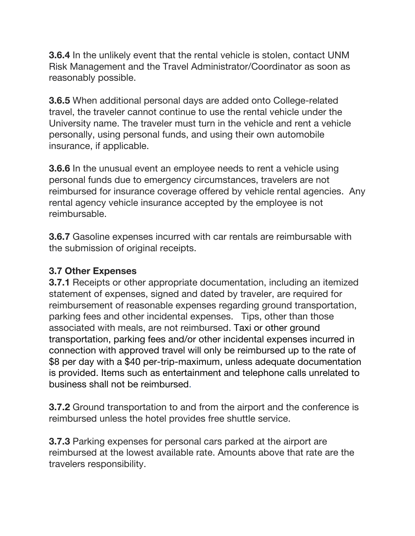**3.6.4** In the unlikely event that the rental vehicle is stolen, contact UNM Risk Management and the Travel Administrator/Coordinator as soon as reasonably possible.

**3.6.5** When additional personal days are added onto College-related travel, the traveler cannot continue to use the rental vehicle under the University name. The traveler must turn in the vehicle and rent a vehicle personally, using personal funds, and using their own automobile insurance, if applicable.

**3.6.6** In the unusual event an employee needs to rent a vehicle using personal funds due to emergency circumstances, travelers are not reimbursed for insurance coverage offered by vehicle rental agencies. Any rental agency vehicle insurance accepted by the employee is not reimbursable.

**3.6.7** Gasoline expenses incurred with car rentals are reimbursable with the submission of original receipts.

#### **3.7 Other Expenses**

**3.7.1** Receipts or other appropriate documentation, including an itemized statement of expenses, signed and dated by traveler, are required for reimbursement of reasonable expenses regarding ground transportation, parking fees and other incidental expenses. Tips, other than those associated with meals, are not reimbursed. Taxi or other ground transportation, parking fees and/or other incidental expenses incurred in connection with approved travel will only be reimbursed up to the rate of \$8 per day with a \$40 per-trip-maximum, unless adequate documentation is provided. Items such as entertainment and telephone calls unrelated to business shall not be reimbursed.

**3.7.2** Ground transportation to and from the airport and the conference is reimbursed unless the hotel provides free shuttle service.

**3.7.3** Parking expenses for personal cars parked at the airport are reimbursed at the lowest available rate. Amounts above that rate are the travelers responsibility.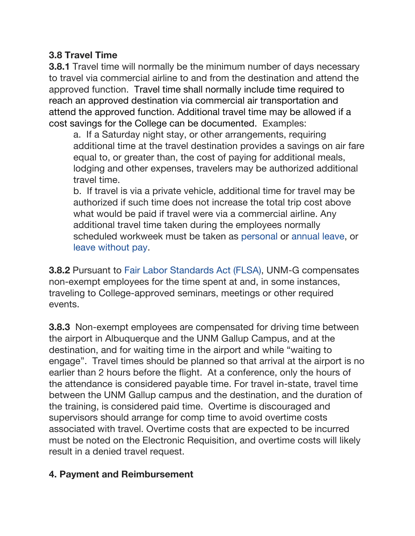# **3.8 Travel Time**

**3.8.1** Travel time will normally be the minimum number of days necessary to travel via commercial airline to and from the destination and attend the approved function. Travel time shall normally include time required to reach an approved destination via commercial air transportation and attend the approved function. Additional travel time may be allowed if a cost savings for the College can be documented. Examples:

a. If a Saturday night stay, or other arrangements, requiring additional time at the travel destination provides a savings on air fare equal to, or greater than, the cost of paying for additional meals, lodging and other expenses, travelers may be authorized additional travel time.

b. If travel is via a private vehicle, additional time for travel may be authorized if such time does not increase the total trip cost above what would be paid if travel were via a commercial airline. Any additional travel time taken during the employees normally scheduled workweek must be taken as personal or annual leave, or leave without pay.

**3.8.2** Pursuant to Fair Labor Standards Act (FLSA), UNM-G compensates non-exempt employees for the time spent at and, in some instances, traveling to College-approved seminars, meetings or other required events.

**3.8.3** Non-exempt employees are compensated for driving time between the airport in Albuquerque and the UNM Gallup Campus, and at the destination, and for waiting time in the airport and while "waiting to engage". Travel times should be planned so that arrival at the airport is no earlier than 2 hours before the flight. At a conference, only the hours of the attendance is considered payable time. For travel in-state, travel time between the UNM Gallup campus and the destination, and the duration of the training, is considered paid time. Overtime is discouraged and supervisors should arrange for comp time to avoid overtime costs associated with travel. Overtime costs that are expected to be incurred must be noted on the Electronic Requisition, and overtime costs will likely result in a denied travel request.

# **4. Payment and Reimbursement**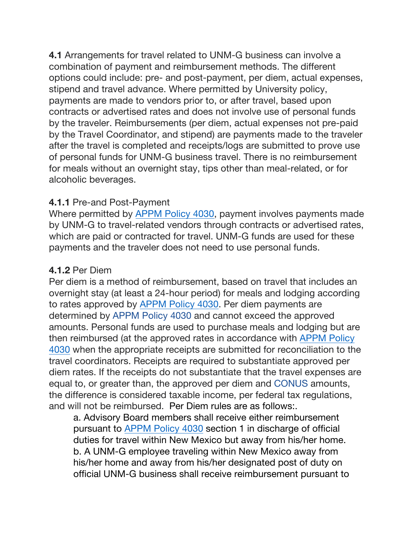**4.1** Arrangements for travel related to UNM-G business can involve a combination of payment and reimbursement methods. The different options could include: pre- and post-payment, per diem, actual expenses, stipend and travel advance. Where permitted by University policy, payments are made to vendors prior to, or after travel, based upon contracts or advertised rates and does not involve use of personal funds by the traveler. Reimbursements (per diem, actual expenses not pre-paid by the Travel Coordinator, and stipend) are payments made to the traveler after the travel is completed and receipts/logs are submitted to prove use of personal funds for UNM-G business travel. There is no reimbursement for meals without an overnight stay, tips other than meal-related, or for alcoholic beverages.

#### **4.1.1** Pre-and Post-Payment

Where permitted by APPM Policy 4030, payment involves payments made by UNM-G to travel-related vendors through contracts or advertised rates, which are paid or contracted for travel. UNM-G funds are used for these payments and the traveler does not need to use personal funds.

#### **4.1.2** Per Diem

Per diem is a method of reimbursement, based on travel that includes an overnight stay (at least a 24-hour period) for meals and lodging according to rates approved by APPM Policy 4030. Per diem payments are determined by APPM Policy 4030 and cannot exceed the approved amounts. Personal funds are used to purchase meals and lodging but are then reimbursed (at the approved rates in accordance with APPM Policy 4030 when the appropriate receipts are submitted for reconciliation to the travel coordinators. Receipts are required to substantiate approved per diem rates. If the receipts do not substantiate that the travel expenses are equal to, or greater than, the approved per diem and CONUS amounts, the difference is considered taxable income, per federal tax regulations, and will not be reimbursed. Per Diem rules are as follows:.

a. Advisory Board members shall receive either reimbursement pursuant to APPM Policy 4030 section 1 in discharge of official duties for travel within New Mexico but away from his/her home. b. A UNM-G employee traveling within New Mexico away from his/her home and away from his/her designated post of duty on official UNM-G business shall receive reimbursement pursuant to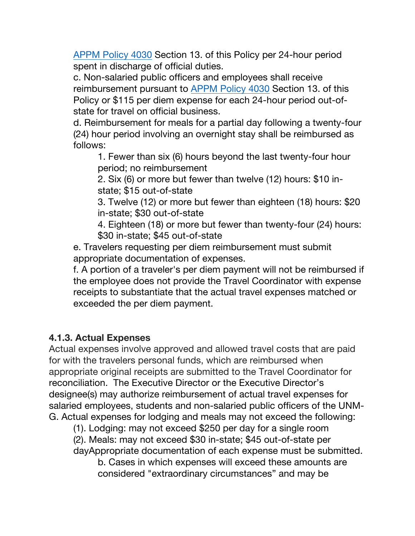APPM Policy 4030 Section 13. of this Policy per 24-hour period spent in discharge of official duties.

c. Non-salaried public officers and employees shall receive reimbursement pursuant to APPM Policy 4030 Section 13. of this Policy or \$115 per diem expense for each 24-hour period out-ofstate for travel on official business.

d. Reimbursement for meals for a partial day following a twenty-four (24) hour period involving an overnight stay shall be reimbursed as follows:

1. Fewer than six (6) hours beyond the last twenty-four hour period; no reimbursement

2. Six (6) or more but fewer than twelve (12) hours: \$10 instate; \$15 out-of-state

3. Twelve (12) or more but fewer than eighteen (18) hours: \$20 in-state; \$30 out-of-state

4. Eighteen (18) or more but fewer than twenty-four (24) hours: \$30 in-state; \$45 out-of-state

e. Travelers requesting per diem reimbursement must submit appropriate documentation of expenses.

f. A portion of a traveler's per diem payment will not be reimbursed if the employee does not provide the Travel Coordinator with expense receipts to substantiate that the actual travel expenses matched or exceeded the per diem payment.

# **4.1.3. Actual Expenses**

Actual expenses involve approved and allowed travel costs that are paid for with the travelers personal funds, which are reimbursed when appropriate original receipts are submitted to the Travel Coordinator for reconciliation. The Executive Director or the Executive Director's designee(s) may authorize reimbursement of actual travel expenses for salaried employees, students and non-salaried public officers of the UNM-G. Actual expenses for lodging and meals may not exceed the following:

(1). Lodging: may not exceed \$250 per day for a single room

(2). Meals: may not exceed \$30 in-state; \$45 out-of-state per dayAppropriate documentation of each expense must be submitted.

b. Cases in which expenses will exceed these amounts are considered "extraordinary circumstances" and may be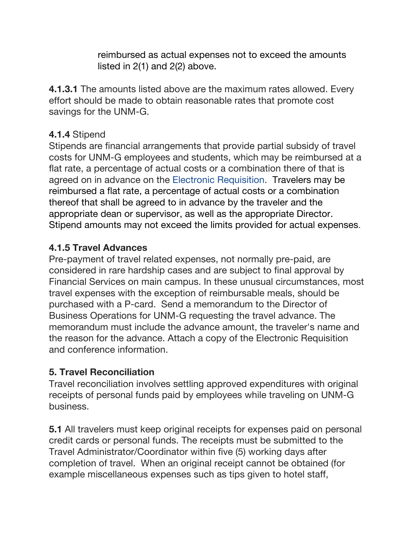reimbursed as actual expenses not to exceed the amounts listed in 2(1) and 2(2) above.

**4.1.3.1** The amounts listed above are the maximum rates allowed. Every effort should be made to obtain reasonable rates that promote cost savings for the UNM-G.

#### **4.1.4** Stipend

Stipends are financial arrangements that provide partial subsidy of travel costs for UNM-G employees and students, which may be reimbursed at a flat rate, a percentage of actual costs or a combination there of that is agreed on in advance on the Electronic Requisition. Travelers may be reimbursed a flat rate, a percentage of actual costs or a combination thereof that shall be agreed to in advance by the traveler and the appropriate dean or supervisor, as well as the appropriate Director. Stipend amounts may not exceed the limits provided for actual expenses.

#### **4.1.5 Travel Advances**

Pre-payment of travel related expenses, not normally pre-paid, are considered in rare hardship cases and are subject to final approval by Financial Services on main campus. In these unusual circumstances, most travel expenses with the exception of reimbursable meals, should be purchased with a P-card. Send a memorandum to the Director of Business Operations for UNM-G requesting the travel advance. The memorandum must include the advance amount, the traveler's name and the reason for the advance. Attach a copy of the Electronic Requisition and conference information.

# **5. Travel Reconciliation**

Travel reconciliation involves settling approved expenditures with original receipts of personal funds paid by employees while traveling on UNM-G business.

**5.1** All travelers must keep original receipts for expenses paid on personal credit cards or personal funds. The receipts must be submitted to the Travel Administrator/Coordinator within five (5) working days after completion of travel. When an original receipt cannot be obtained (for example miscellaneous expenses such as tips given to hotel staff,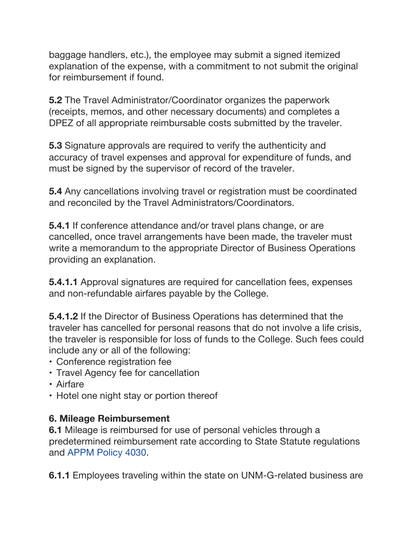baggage handlers, etc.), the employee may submit a signed itemized explanation of the expense, with a commitment to not submit the original for reimbursement if found.

**5.2** The Travel Administrator/Coordinator organizes the paperwork (receipts, memos, and other necessary documents) and completes a DPEZ of all appropriate reimbursable costs submitted by the traveler.

**5.3** Signature approvals are required to verify the authenticity and accuracy of travel expenses and approval for expenditure of funds, and must be signed by the supervisor of record of the traveler.

**5.4** Any cancellations involving travel or registration must be coordinated and reconciled by the Travel Administrators/Coordinators.

**5.4.1** If conference attendance and/or travel plans change, or are cancelled, once travel arrangements have been made, the traveler must write a memorandum to the appropriate Director of Business Operations providing an explanation.

**5.4.1.1** Approval signatures are required for cancellation fees, expenses and non-refundable airfares payable by the College.

**5.4.1.2** If the Director of Business Operations has determined that the traveler has cancelled for personal reasons that do not involve a life crisis, the traveler is responsible for loss of funds to the College. Such fees could include any or all of the following:

- Conference registration fee
- Travel Agency fee for cancellation
- Airfare
- Hotel one night stay or portion thereof

# **6. Mileage Reimbursement**

**6.1** Mileage is reimbursed for use of personal vehicles through a predetermined reimbursement rate according to State Statute regulations and APPM Policy 4030.

**6.1.1** Employees traveling within the state on UNM-G-related business are